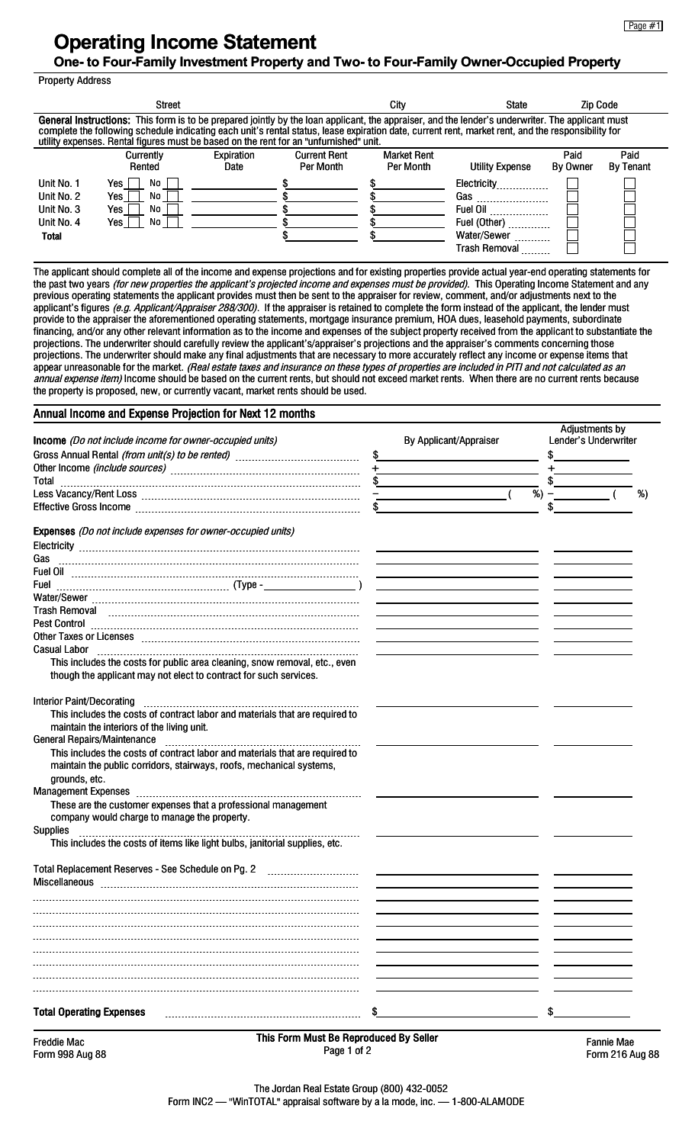## **Operating Income Statement**

## **One- to Four-Family Investment Property and Two- to Four-Family Owner-Occupied Property**

Property Address

| General Instructions: This form is to be prepared jointly by the loan applicant, the appraiser, and the lender's underwriter. The applicant must                                                                                            |  |  |  |  |  |  |  |  |  |  |  |
|---------------------------------------------------------------------------------------------------------------------------------------------------------------------------------------------------------------------------------------------|--|--|--|--|--|--|--|--|--|--|--|
| complete the following schedule indicating each unit's rental status, lease expiration date, current rent, market rent, and the responsibility for<br>utility expenses. Rental figures must be based on the rent for an "unfurnished" unit. |  |  |  |  |  |  |  |  |  |  |  |
| Paid<br>Expiration<br>Paid<br><b>Current Rent</b><br><b>Market Rent</b><br>Currently<br><b>Per Month</b><br>Per Month<br>By Tenant<br>By Owner<br>Utility Expense<br>Rented<br>Date                                                         |  |  |  |  |  |  |  |  |  |  |  |
| Unit No. 1<br>No l<br>Yes<br>Electricity                                                                                                                                                                                                    |  |  |  |  |  |  |  |  |  |  |  |
| Yes  <br>Unit No. 2<br>No<br>Gas                                                                                                                                                                                                            |  |  |  |  |  |  |  |  |  |  |  |
| Yes<br>Unit No. 3<br>No<br>Fuel Oil                                                                                                                                                                                                         |  |  |  |  |  |  |  |  |  |  |  |
| Unit No. 4<br>Yes I<br>No<br>Fuel (Other)                                                                                                                                                                                                   |  |  |  |  |  |  |  |  |  |  |  |
| Water/Sewer<br><b>Total</b>                                                                                                                                                                                                                 |  |  |  |  |  |  |  |  |  |  |  |
| Trash Removal                                                                                                                                                                                                                               |  |  |  |  |  |  |  |  |  |  |  |

The applicant should complete all of the income and expense projections and for existing properties provide actual year-end operating statements for the past two years (for new properties the applicant's projected income and expenses must be provided). This Operating Income Statement and any previous operating statements the applicant provides must then be sent to the appraiser for review, comment, and/or adjustments next to the applicant's figures (e.g. Applicant/Appraiser 288/300). If the appraiser is retained to complete the form instead of the applicant, the lender must provide to the appraiser the aforementioned operating statements, mortgage insurance premium, HOA dues, leasehold payments, subordinate financing, and/or any other relevant information as to the income and expenses of the subject property received from the applicant to substantiate the projections. The underwriter should carefully review the applicant's/appraiser's projections and the appraiser's comments concerning those projections. The underwriter should make any final adjustments that are necessary to more accurately reflect any income or expense items that appear unreasonable for the market. *(Real estate taxes and insurance on these types of properties are included in PITI and not calculated as an annual expense item)* Income should be based on the current rents, but should not exceed market rents. When there are no current rents because the property is proposed, new, or currently vacant, market rents should be used.

## Annual Income and Expense Projection for Next 12 months

| Income (Do not include income for owner-occupied units)                                                                                                                                                                             |               | By Applicant/Appraiser                                                                                                                                                                                                               | Adjustments by<br>Lender's Underwriter |    |
|-------------------------------------------------------------------------------------------------------------------------------------------------------------------------------------------------------------------------------------|---------------|--------------------------------------------------------------------------------------------------------------------------------------------------------------------------------------------------------------------------------------|----------------------------------------|----|
|                                                                                                                                                                                                                                     | $\frac{1}{2}$ |                                                                                                                                                                                                                                      |                                        |    |
|                                                                                                                                                                                                                                     |               |                                                                                                                                                                                                                                      |                                        |    |
| Total                                                                                                                                                                                                                               |               |                                                                                                                                                                                                                                      |                                        |    |
|                                                                                                                                                                                                                                     |               |                                                                                                                                                                                                                                      | $\%$ ) – (                             | %) |
|                                                                                                                                                                                                                                     |               |                                                                                                                                                                                                                                      |                                        |    |
| Expenses (Do not include expenses for owner-occupied units)                                                                                                                                                                         |               |                                                                                                                                                                                                                                      |                                        |    |
|                                                                                                                                                                                                                                     |               |                                                                                                                                                                                                                                      |                                        |    |
|                                                                                                                                                                                                                                     |               |                                                                                                                                                                                                                                      |                                        |    |
| Fuel Oil <b>Product Community Contracts</b> and the contract of the contract of the contract of the contract of the contract of the contract of the contract of the contract of the contract of the contract of the contract of the |               |                                                                                                                                                                                                                                      |                                        |    |
|                                                                                                                                                                                                                                     |               | <u>and the state of the state of the state of the state of the state of the state of the state of the state of the state of the state of the state of the state of the state of the state of the state of the state of the state</u> |                                        |    |
|                                                                                                                                                                                                                                     |               |                                                                                                                                                                                                                                      |                                        |    |
|                                                                                                                                                                                                                                     |               |                                                                                                                                                                                                                                      |                                        |    |
|                                                                                                                                                                                                                                     |               |                                                                                                                                                                                                                                      |                                        |    |
| Other Taxes or Licenses [ www.communications or Licenses [ www.communications or Licenses [ www.communications                                                                                                                      |               |                                                                                                                                                                                                                                      |                                        |    |
| <b>Casual Labor</b>                                                                                                                                                                                                                 |               |                                                                                                                                                                                                                                      |                                        |    |
| This includes the costs for public area cleaning, snow removal, etc., even                                                                                                                                                          |               |                                                                                                                                                                                                                                      |                                        |    |
| though the applicant may not elect to contract for such services.                                                                                                                                                                   |               |                                                                                                                                                                                                                                      |                                        |    |
| <b>Interior Paint/Decorating</b>                                                                                                                                                                                                    |               |                                                                                                                                                                                                                                      |                                        |    |
| This includes the costs of contract labor and materials that are required to                                                                                                                                                        |               |                                                                                                                                                                                                                                      |                                        |    |
| maintain the interiors of the living unit.                                                                                                                                                                                          |               |                                                                                                                                                                                                                                      |                                        |    |
| General Repairs/Maintenance [11] [12] Contract the Repair of Present and Repairs (Maintenance 2014)                                                                                                                                 |               |                                                                                                                                                                                                                                      |                                        |    |
| This includes the costs of contract labor and materials that are required to                                                                                                                                                        |               |                                                                                                                                                                                                                                      |                                        |    |
| maintain the public corridors, stairways, roofs, mechanical systems,                                                                                                                                                                |               |                                                                                                                                                                                                                                      |                                        |    |
| grounds, etc.                                                                                                                                                                                                                       |               |                                                                                                                                                                                                                                      |                                        |    |
|                                                                                                                                                                                                                                     |               |                                                                                                                                                                                                                                      |                                        |    |
| These are the customer expenses that a professional management                                                                                                                                                                      |               |                                                                                                                                                                                                                                      |                                        |    |
| company would charge to manage the property.                                                                                                                                                                                        |               |                                                                                                                                                                                                                                      |                                        |    |
| <b>Supplies</b>                                                                                                                                                                                                                     |               |                                                                                                                                                                                                                                      |                                        |    |
| This includes the costs of items like light bulbs, janitorial supplies, etc.                                                                                                                                                        |               |                                                                                                                                                                                                                                      |                                        |    |
| Total Replacement Reserves - See Schedule on Pg. 2                                                                                                                                                                                  |               |                                                                                                                                                                                                                                      |                                        |    |
|                                                                                                                                                                                                                                     |               |                                                                                                                                                                                                                                      |                                        |    |
|                                                                                                                                                                                                                                     |               |                                                                                                                                                                                                                                      |                                        |    |
|                                                                                                                                                                                                                                     |               |                                                                                                                                                                                                                                      |                                        |    |
|                                                                                                                                                                                                                                     |               |                                                                                                                                                                                                                                      |                                        |    |
|                                                                                                                                                                                                                                     |               |                                                                                                                                                                                                                                      |                                        |    |
|                                                                                                                                                                                                                                     |               |                                                                                                                                                                                                                                      |                                        |    |
|                                                                                                                                                                                                                                     |               |                                                                                                                                                                                                                                      |                                        |    |
|                                                                                                                                                                                                                                     |               |                                                                                                                                                                                                                                      |                                        |    |
|                                                                                                                                                                                                                                     |               |                                                                                                                                                                                                                                      |                                        |    |
| <b>Total Operating Expenses</b>                                                                                                                                                                                                     |               |                                                                                                                                                                                                                                      |                                        |    |
|                                                                                                                                                                                                                                     |               |                                                                                                                                                                                                                                      |                                        |    |

Freddie Mac Form 998 Aug 88 This Form Must Be Reproduced By Seller Page 1 of 2

Fannie Mae Form 216 Aug 88

Form INC2 — "WinTOTAL" appraisal software by a la mode, inc. — 1-800-ALAMODE The Jordan Real Estate Group (800) 432-0052